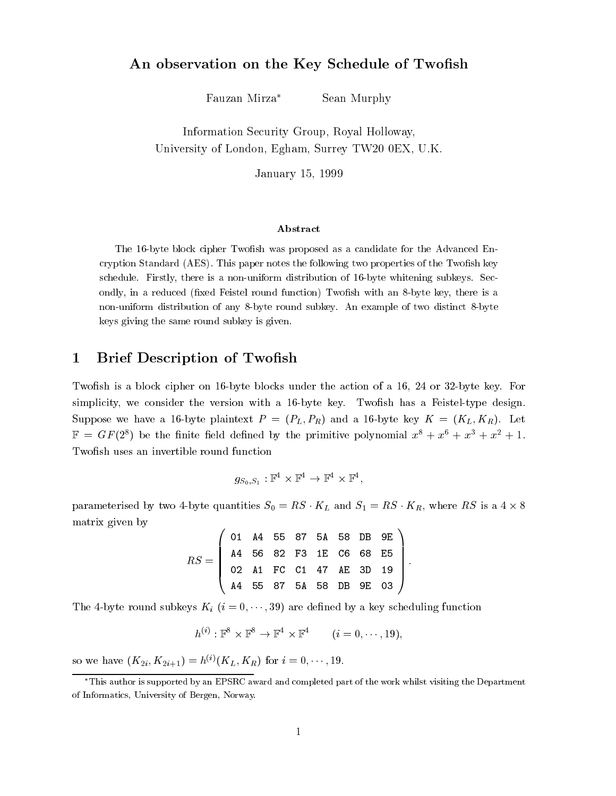#### An observation on the Key Schedule of Two-sh

Fauzan Mirza\* Sean Murphy

Information Security Group- Royal Holloway-University of London, Egham, Buriey Tw 20  $0$ EA, U.K.

January -

#### Abstract

The -byte block cipher Twosh was proposed as a candidate for the Advanced En cryption Standard (AES). This paper notes the following two properties of the Twofish key schedule Firstly there is a nonuniform distribution of -byte whitening subkeys Sec ondly in a reduced xed Feistel round function Two sets and there is a reduced to the there is a reduced to the nonuniform distribution of any byte round subkey An example of two distinct byte keys giving the same round subkey is given

### Brief Description of Two-sh

Two-sh is a block cipher on byte blocks under the action of a or byte key For simplicity we consider that version with a byte key movement with a best and  $\eta$  possible where we have the first plant production in  $\mathbb{P}$  . The first production  $\mathbb{P}$  is the first product  $\mathbb{P}$  $\mathbb{F}$  = Gr(2) be the limite field defined by the primitive polynomial  $x^* + x^* + x^* + x^* + 1$ .

$$
g_{S_0,S_1}:\mathbb{F}^4\times\mathbb{F}^4\to\mathbb{F}^4\times\mathbb{F}^4,
$$

parameterised by two 4-byte quantities  $S_0 = RS \cdot K_L$  and  $S_1 = RS \cdot K_R$ , where RS is a  $4 \times 8$ matrix given by

$$
RS = \left(\begin{array}{ccccc} \texttt{01} & \texttt{A4} & \texttt{55} & \texttt{87} & \texttt{5A} & \texttt{58} & \texttt{DB} & \texttt{9E} \\ \texttt{A4} & \texttt{56} & \texttt{82} & \texttt{F3} & \texttt{1E} & \texttt{C6} & \texttt{68} & \texttt{E5} \\ \texttt{02} & \texttt{A1} & \texttt{FC} & \texttt{C1} & \texttt{47} & \texttt{AE} & \texttt{3D} & \texttt{19} \\ \texttt{A4} & \texttt{55} & \texttt{87} & \texttt{5A} & \texttt{58} & \texttt{DB} & \texttt{9E} & \texttt{03} \end{array}\right).
$$

the byte round subkeys Ki i are de-duling functions of the control of the control of the control of the control of the control of the control of the control of the control of the control of the control of the control of th

$$
h^{(i)}: \mathbb{F}^8 \times \mathbb{F}^8 \to \mathbb{F}^4 \times \mathbb{F}^4 \qquad (i = 0, \dots, 19),
$$

so we have  $(\mathbf{R}_2_i, \mathbf{R}_2_{i+1}) = h^{\vee}(\mathbf{R}_L, \mathbf{R}_R)$  for  $i = 0, \dots, 19$ .

This author is supported by an EPSRC award and completed part of the work whilst visiting the Departmentof the matics. University of Bergen, ivorway.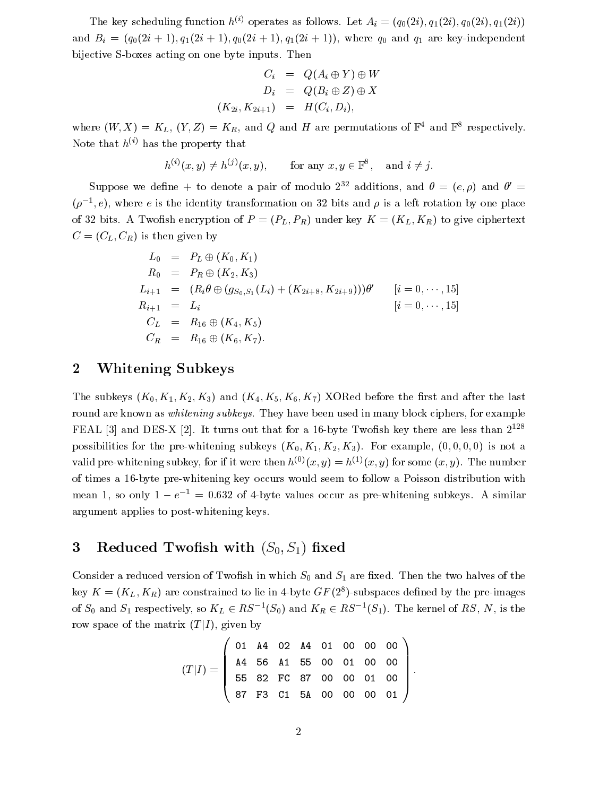The key scheduling function  $h^{\vee}$  operates as follows. Let  $A_i = (q_0(2i), q_1(2i), q_0(2i), q_1(2i))$ a and a finite  $\alpha$  and  $\alpha$  are  $\alpha$  and  $\alpha$  are key and  $\alpha$  and  $\alpha$  and  $\alpha$ bijective Section actions and the state of the imputs of the state of the state of the state of the state of the

$$
C_i = Q(A_i \oplus Y) \oplus W
$$
  
\n
$$
D_i = Q(B_i \oplus Z) \oplus X
$$
  
\n
$$
(K_{2i}, K_{2i+1}) = H(C_i, D_i),
$$

where  $(W, \Lambda) = K_L$ ,  $(I, Z) = K_R$ , and Q and H are permutations of  $\mathbb{F}^+$  and  $\mathbb{F}^+$  respectively. Note that  $h^{(i)}$  has the property that

$$
h^{(i)}(x, y) \neq h^{(j)}(x, y), \quad \text{for any } x, y \in \mathbb{F}^8, \text{ and } i \neq j.
$$

Suppose we define  $+$  to defiber a pair of modulo  $2^{--}$  additions, and  $\sigma = (e, \rho)$  and  $\sigma =$  $(\rho-\epsilon)$ , where  $e$  is the identity transformation on  $\delta\omega$  bits and  $\rho$  is a left rotation by one place  $\mathcal{A}$  is a set of PL-contract contract of PL-contract contract contract contract contract contract contract contract contract contract contract contract contract contract contract contract contract contract contract co C CL- CR
is then given by

$$
L_0 = P_L \oplus (K_0, K_1)
$$
  
\n
$$
R_0 = P_R \oplus (K_2, K_3)
$$
  
\n
$$
L_{i+1} = (R_i \theta \oplus (g_{S_0, S_1}(L_i) + (K_{2i+8}, K_{2i+9})))\theta' \qquad [i = 0, \cdots, 15]
$$
  
\n
$$
R_{i+1} = L_i \qquad [i = 0, \cdots, 15]
$$
  
\n
$$
C_L = R_{16} \oplus (K_4, K_5)
$$
  
\n
$$
C_R = R_{16} \oplus (K_6, K_7).
$$

#### Whitening Subkeys

 $\mathcal{L} = \{ \mathcal{L}^T \mid \mathcal{L}^T \mathcal{L} \mid \mathcal{L}^T \mathcal{L} \mid \mathcal{L}^T \mathcal{L} \mid \mathcal{L}^T \mathcal{L} \mid \mathcal{L}^T \mathcal{L} \mathcal{L} \mid \mathcal{L}^T \mathcal{L} \mathcal{L} \mathcal{L} \mathcal{L} \mathcal{L} \mathcal{L} \mathcal{L} \mathcal{L} \mathcal{L} \mathcal{L} \mathcal{L} \mathcal{L} \mathcal{L} \mathcal{L} \mathcal{L} \mathcal{L} \mathcal{L} \mathcal{$ round are known as whitening subkeys They have been used in many block ciphers for example  $\Gamma$ EAL 3 and DES-A  $|Z|$ . It turns out that for a 10-byte I wonsh key there are less than  $Z^{++}$  $p$  -defines for the pressure  $p$  -defines  $\mu$  . And  $\mu$  -defines for example  $\mu$  , which is  $\mu$  and  $\mu$  and  $\mu$ valid pre-whitening subkey, for if it were then  $n \lor (x, y) = n \lor (x, y)$  for some  $(x, y)$ . The number of times a 16-byte pre-whitening key occurs would seem to follow a Poisson distribution with mean 1, so only  $1 - e^{-\tau} = 0.632$  of 4-byte values occur as pre-whitening subkeys. A similar argument applies to post-whitening keys.

### $\mathcal{L}$  shows the short  $\mathcal{L}$   $\mathcal{L}$   $\mathcal{L}$   $\mathcal{L}$   $\mathcal{L}$   $\mathcal{L}$   $\mathcal{L}$   $\mathcal{L}$   $\mathcal{L}$   $\mathcal{L}$   $\mathcal{L}$   $\mathcal{L}$   $\mathcal{L}$   $\mathcal{L}$   $\mathcal{L}$   $\mathcal{L}$   $\mathcal{L}$   $\mathcal{L}$   $\mathcal{L}$   $\mathcal{L}$   $\mathcal{L}$   $\mathcal{L}$

Consider a reduced version of Two-sh in which S and S are -xed Then the two halves of the  $\kappa$   $K$   $=$   $(K_L, K_R)$  are constrained to the in 4-byte GP (2+)-subspaces defined by the pre-images of  $S_0$  and  $S_1$  respectively, so  $K_L \in R_S$  = ( $S_0$ ) and  $K_R \in R_S$  = ( $S_1$ ). The kernel of  $R_S$ , *i*v, is the row space of the matrix  $(T|I)$ , given by

$$
(T|I) = \left(\begin{array}{cccccc} 01 & A4 & 02 & A4 & 01 & 00 & 00 & 00 \\ A4 & 56 & A1 & 55 & 00 & 01 & 00 & 00 \\ 55 & 82 & FC & 87 & 00 & 00 & 01 & 00 \\ 87 & F3 & C1 & 5A & 00 & 00 & 00 & 01 \end{array}\right).
$$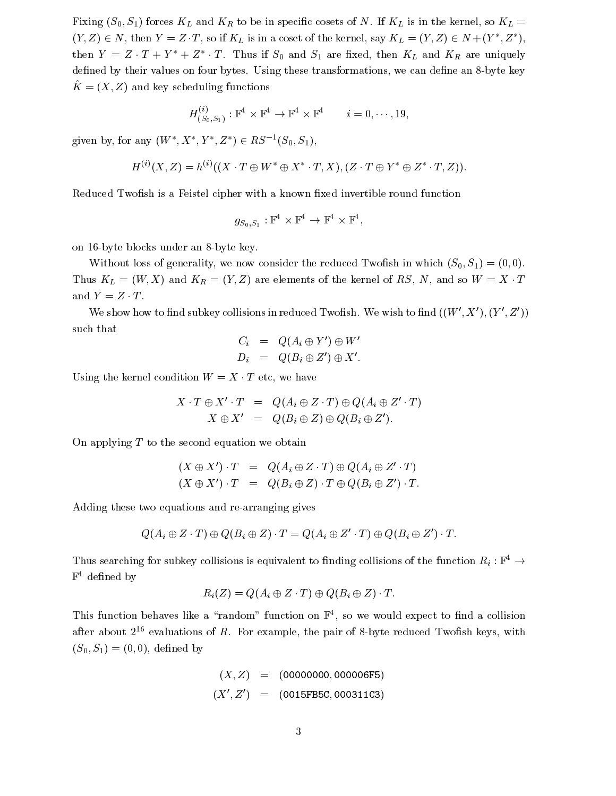$\Omega$  is in the internal society of  $\Omega$  in the kernel so  $\Omega$  in the kernel so  $\Omega$  $(Y, Z) \in N$ , then  $Y = Z \cdot I$ , so if  $N_L$  is in a coset of the kernel, say  $N_L = (Y, Z) \in N + (Y, Z)$ , then  $Y = Z \cdot I + Y + Z \cdot I$ . Thus if  $S_0$  and  $S_1$  are fixed, then  $K_L$  and  $K_R$  are uniquely de-ned by their values on four bytes Using these transformations we can de-ne an byte key  $K = (X, Z)$  and key scheduling functions

$$
H^{(i)}_{(S_0,S_1)}:\mathbb{F}^4\times\mathbb{F}^4\to\mathbb{F}^4\times\mathbb{F}^4 \qquad i=0,\cdots,19,
$$

given by, for any  $(W, \Lambda, I, Z) \in R$ .  $\delta$  ( $\delta$ 0,  $\delta$ 1),

$$
H^{(i)}(X,Z)=h^{(i)}((X\cdot T\oplus W^*\oplus X^*\cdot T,X),(Z\cdot T\oplus Y^*\oplus Z^*\cdot T,Z)).
$$

Reduced Two-sh is a Feistel cipher with a known -xed invertible round function

$$
g_{S_0,S_1}:\mathbb{F}^4\times\mathbb{F}^4\to\mathbb{F}^4\times\mathbb{F}^4,
$$

on 16-byte blocks under an 8-byte key.

where the consider the reduced Two-consider the reduced Two-consider the reduced Two-consider the reduced Two- $\tau$  and  $\tau$  are  $\tau$  and  $\tau$  and  $\tau$  and  $\tau$  are elements of the kernel of  $\tau$  and  $\tau$  and  $\tau$  and  $\tau$  and  $\tau$  and  $\tau$  and  $\tau$  and  $\tau$  and  $\tau$  and  $\tau$  and  $\tau$  and  $\tau$  and  $\tau$  and  $\tau$  and  $\tau$  and  $\tau$  a and  $Y = Z \cdot T$ .

We show now to find subkey contisions in reduced 1 wollsh. We wish to find  $((W, A), (Y, \Delta))$ such that

$$
C_i = Q(A_i \oplus Y') \oplus W'
$$
  
\n
$$
D_i = Q(B_i \oplus Z') \oplus X'.
$$

Using the kernel condition  $W = X \cdot T$  etc, we have

$$
X \cdot T \oplus X' \cdot T = Q(A_i \oplus Z \cdot T) \oplus Q(A_i \oplus Z' \cdot T)
$$
  

$$
X \oplus X' = Q(B_i \oplus Z) \oplus Q(B_i \oplus Z').
$$

On applying  $T$  to the second equation we obtain

$$
(X \oplus X') \cdot T = Q(A_i \oplus Z \cdot T) \oplus Q(A_i \oplus Z' \cdot T)
$$
  

$$
(X \oplus X') \cdot T = Q(B_i \oplus Z) \cdot T \oplus Q(B_i \oplus Z') \cdot T.
$$

Adding these two equations and re-arranging gives

$$
Q(A_i \oplus Z \cdot T) \oplus Q(B_i \oplus Z) \cdot T = Q(A_i \oplus Z' \cdot T) \oplus Q(B_i \oplus Z') \cdot T.
$$

Thus searching for subkey confisions is equivalent to finding confisions of the function  $R_i: \mathbb{F} \rightarrow$  $\mathbb{F}^4$  defined by ned by the contract of the contract of the contract of the contract of the contract of the contract of the con

$$
R_i(Z) = Q(A_i \oplus Z \cdot T) \oplus Q(B_i \oplus Z) \cdot T.
$$

I fils function behaves like a random function on  $\mathbb{F}^*$ , so we would expect to find a collision after about  $2^{+}$  evaluations of  $R$ . For example, the pair of 8-pyte reduced Twonsh keys, with  $\mathcal{S} = \{ \mathcal{S} \mid \mathcal{S} \mid \mathcal{S} \}$ 

$$
(X, Z) = (00000000, 000006F5)
$$
  

$$
(X', Z') = (0015FBSC, 000311C3)
$$